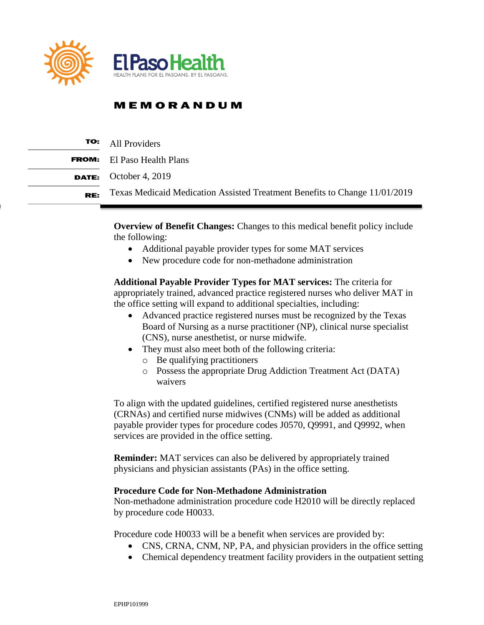

## **MEMORANDUM**

|     | <b>TO:</b> All Providers                                                   |
|-----|----------------------------------------------------------------------------|
|     | <b>FROM:</b> El Paso Health Plans                                          |
|     | <b>DATE:</b> October 4, 2019                                               |
| RE: | Texas Medicaid Medication Assisted Treatment Benefits to Change 11/01/2019 |

**Overview of Benefit Changes:** Changes to this medical benefit policy include the following:

- Additional payable provider types for some MAT services
- New procedure code for non-methadone administration

**Additional Payable Provider Types for MAT services:** The criteria for appropriately trained, advanced practice registered nurses who deliver MAT in the office setting will expand to additional specialties, including:

- Advanced practice registered nurses must be recognized by the Texas Board of Nursing as a nurse practitioner (NP), clinical nurse specialist (CNS), nurse anesthetist, or nurse midwife.
- They must also meet both of the following criteria:
	- o Be qualifying practitioners
	- o Possess the appropriate Drug Addiction Treatment Act (DATA) waivers

To align with the updated guidelines, certified registered nurse anesthetists (CRNAs) and certified nurse midwives (CNMs) will be added as additional payable provider types for procedure codes J0570, Q9991, and Q9992, when services are provided in the office setting.

**Reminder:** MAT services can also be delivered by appropriately trained physicians and physician assistants (PAs) in the office setting.

## **Procedure Code for Non-Methadone Administration**

Non-methadone administration procedure code H2010 will be directly replaced by procedure code H0033.

Procedure code H0033 will be a benefit when services are provided by:

- CNS, CRNA, CNM, NP, PA, and physician providers in the office setting
- Chemical dependency treatment facility providers in the outpatient setting